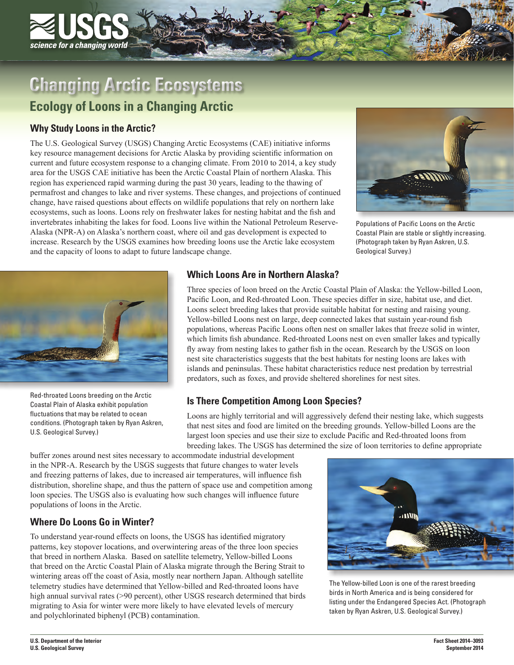

# **Changing Arctic Ecosystems**

# **Ecology of Loons in a Changing Arctic**

# **Why Study Loons in the Arctic?**

The U.S. Geological Survey (USGS) Changing Arctic Ecosystems (CAE) initiative informs key resource management decisions for Arctic Alaska by providing scientific information on current and future ecosystem response to a changing climate. From 2010 to 2014, a key study area for the USGS CAE initiative has been the Arctic Coastal Plain of northern Alaska. This region has experienced rapid warming during the past 30 years, leading to the thawing of permafrost and changes to lake and river systems. These changes, and projections of continued change, have raised questions about effects on wildlife populations that rely on northern lake ecosystems, such as loons. Loons rely on freshwater lakes for nesting habitat and the fish and invertebrates inhabiting the lakes for food. Loons live within the National Petroleum Reserve-Alaska (NPR-A) on Alaska's northern coast, where oil and gas development is expected to increase. Research by the USGS examines how breeding loons use the Arctic lake ecosystem and the capacity of loons to adapt to future landscape change.



Populations of Pacific Loons on the Arctic Coastal Plain are stable or slightly increasing. (Photograph taken by Ryan Askren, U.S. Geological Survey.)



Red-throated Loons breeding on the Arctic Coastal Plain of Alaska exhibit population fluctuations that may be related to ocean conditions. (Photograph taken by Ryan Askren, U.S. Geological Survey.)

### **Which Loons Are in Northern Alaska?**

Three species of loon breed on the Arctic Coastal Plain of Alaska: the Yellow-billed Loon, Pacific Loon, and Red-throated Loon. These species differ in size, habitat use, and diet. Loons select breeding lakes that provide suitable habitat for nesting and raising young. Yellow-billed Loons nest on large, deep connected lakes that sustain year-round fish populations, whereas Pacific Loons often nest on smaller lakes that freeze solid in winter, which limits fish abundance. Red-throated Loons nest on even smaller lakes and typically fly away from nesting lakes to gather fish in the ocean. Research by the USGS on loon nest site characteristics suggests that the best habitats for nesting loons are lakes with islands and peninsulas. These habitat characteristics reduce nest predation by terrestrial predators, such as foxes, and provide sheltered shorelines for nest sites.

# **Is There Competition Among Loon Species?**

Loons are highly territorial and will aggressively defend their nesting lake, which suggests that nest sites and food are limited on the breeding grounds. Yellow-billed Loons are the largest loon species and use their size to exclude Pacific and Red-throated loons from breeding lakes. The USGS has determined the size of loon territories to define appropriate

buffer zones around nest sites necessary to accommodate industrial development in the NPR-A. Research by the USGS suggests that future changes to water levels and freezing patterns of lakes, due to increased air temperatures, will influence fish distribution, shoreline shape, and thus the pattern of space use and competition among loon species. The USGS also is evaluating how such changes will influence future populations of loons in the Arctic.

# **Where Do Loons Go in Winter?**

To understand year-round effects on loons, the USGS has identified migratory patterns, key stopover locations, and overwintering areas of the three loon species that breed in northern Alaska. Based on satellite telemetry, Yellow-billed Loons that breed on the Arctic Coastal Plain of Alaska migrate through the Bering Strait to wintering areas off the coast of Asia, mostly near northern Japan. Although satellite telemetry studies have determined that Yellow-billed and Red-throated loons have high annual survival rates (>90 percent), other USGS research determined that birds migrating to Asia for winter were more likely to have elevated levels of mercury and polychlorinated biphenyl (PCB) contamination.



The Yellow-billed Loon is one of the rarest breeding birds in North America and is being considered for listing under the Endangered Species Act. (Photograph taken by Ryan Askren, U.S. Geological Survey.)